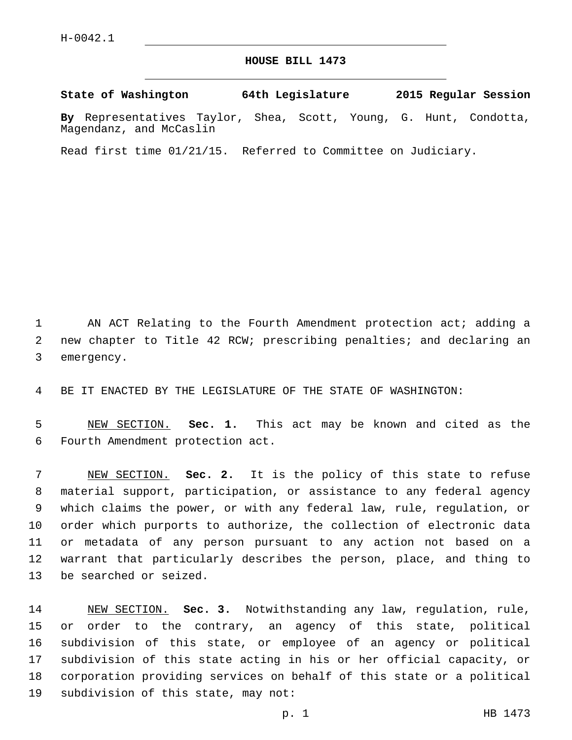## **HOUSE BILL 1473**

**State of Washington 64th Legislature 2015 Regular Session**

**By** Representatives Taylor, Shea, Scott, Young, G. Hunt, Condotta, Magendanz, and McCaslin

Read first time 01/21/15. Referred to Committee on Judiciary.

 AN ACT Relating to the Fourth Amendment protection act; adding a new chapter to Title 42 RCW; prescribing penalties; and declaring an 3 emergency.

BE IT ENACTED BY THE LEGISLATURE OF THE STATE OF WASHINGTON:

 NEW SECTION. **Sec. 1.** This act may be known and cited as the Fourth Amendment protection act.

 NEW SECTION. **Sec. 2.** It is the policy of this state to refuse material support, participation, or assistance to any federal agency which claims the power, or with any federal law, rule, regulation, or order which purports to authorize, the collection of electronic data or metadata of any person pursuant to any action not based on a warrant that particularly describes the person, place, and thing to be searched or seized.

 NEW SECTION. **Sec. 3.** Notwithstanding any law, regulation, rule, or order to the contrary, an agency of this state, political subdivision of this state, or employee of an agency or political subdivision of this state acting in his or her official capacity, or corporation providing services on behalf of this state or a political subdivision of this state, may not: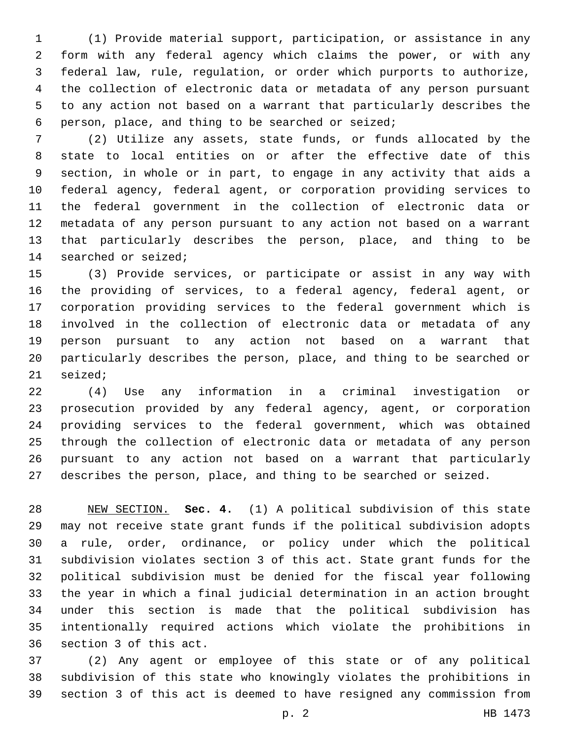(1) Provide material support, participation, or assistance in any form with any federal agency which claims the power, or with any federal law, rule, regulation, or order which purports to authorize, the collection of electronic data or metadata of any person pursuant to any action not based on a warrant that particularly describes the person, place, and thing to be searched or seized;6

 (2) Utilize any assets, state funds, or funds allocated by the state to local entities on or after the effective date of this section, in whole or in part, to engage in any activity that aids a federal agency, federal agent, or corporation providing services to the federal government in the collection of electronic data or metadata of any person pursuant to any action not based on a warrant that particularly describes the person, place, and thing to be 14 searched or seized;

 (3) Provide services, or participate or assist in any way with the providing of services, to a federal agency, federal agent, or corporation providing services to the federal government which is involved in the collection of electronic data or metadata of any person pursuant to any action not based on a warrant that particularly describes the person, place, and thing to be searched or 21 seized;

 (4) Use any information in a criminal investigation or prosecution provided by any federal agency, agent, or corporation providing services to the federal government, which was obtained through the collection of electronic data or metadata of any person pursuant to any action not based on a warrant that particularly describes the person, place, and thing to be searched or seized.

 NEW SECTION. **Sec. 4.** (1) A political subdivision of this state may not receive state grant funds if the political subdivision adopts a rule, order, ordinance, or policy under which the political subdivision violates section 3 of this act. State grant funds for the political subdivision must be denied for the fiscal year following the year in which a final judicial determination in an action brought under this section is made that the political subdivision has intentionally required actions which violate the prohibitions in section 3 of this act.

 (2) Any agent or employee of this state or of any political subdivision of this state who knowingly violates the prohibitions in section 3 of this act is deemed to have resigned any commission from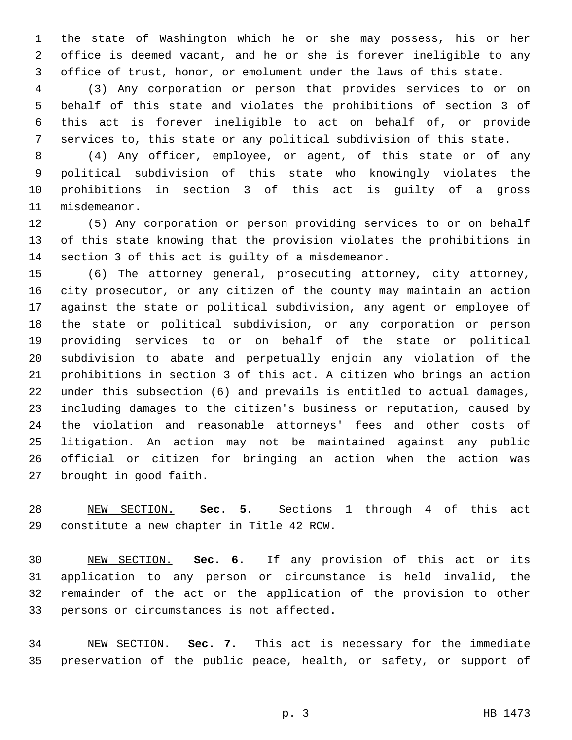the state of Washington which he or she may possess, his or her office is deemed vacant, and he or she is forever ineligible to any office of trust, honor, or emolument under the laws of this state.

 (3) Any corporation or person that provides services to or on behalf of this state and violates the prohibitions of section 3 of this act is forever ineligible to act on behalf of, or provide services to, this state or any political subdivision of this state.

 (4) Any officer, employee, or agent, of this state or of any political subdivision of this state who knowingly violates the prohibitions in section 3 of this act is guilty of a gross 11 misdemeanor.

 (5) Any corporation or person providing services to or on behalf of this state knowing that the provision violates the prohibitions in 14 section 3 of this act is guilty of a misdemeanor.

 (6) The attorney general, prosecuting attorney, city attorney, city prosecutor, or any citizen of the county may maintain an action against the state or political subdivision, any agent or employee of the state or political subdivision, or any corporation or person providing services to or on behalf of the state or political subdivision to abate and perpetually enjoin any violation of the prohibitions in section 3 of this act. A citizen who brings an action under this subsection (6) and prevails is entitled to actual damages, including damages to the citizen's business or reputation, caused by the violation and reasonable attorneys' fees and other costs of litigation. An action may not be maintained against any public official or citizen for bringing an action when the action was 27 brought in good faith.

 NEW SECTION. **Sec. 5.** Sections 1 through 4 of this act constitute a new chapter in Title 42 RCW.

 NEW SECTION. **Sec. 6.** If any provision of this act or its application to any person or circumstance is held invalid, the remainder of the act or the application of the provision to other persons or circumstances is not affected.

 NEW SECTION. **Sec. 7.** This act is necessary for the immediate preservation of the public peace, health, or safety, or support of

p. 3 HB 1473